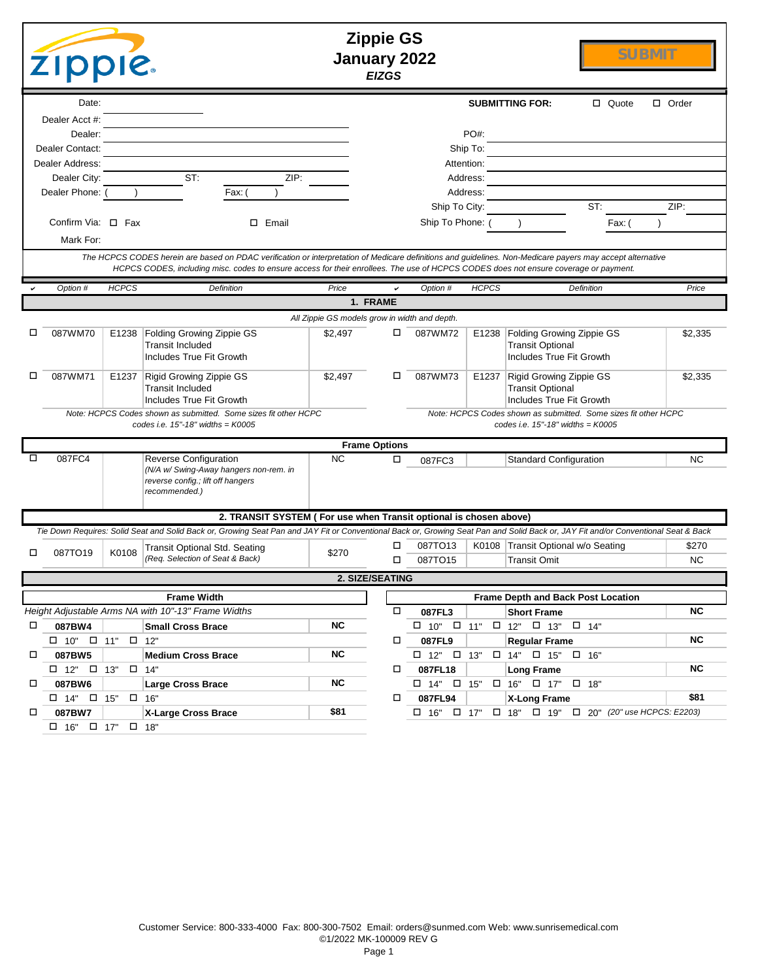|        | <b>Zippie GS</b><br><b>SUBMIT</b><br>January 2022<br><b>Zippie.</b><br><b>EIZGS</b> |              |                                                                                                                                                                                    |                                               |                      |                                  |              |                                                                                  |                                                                               |              |
|--------|-------------------------------------------------------------------------------------|--------------|------------------------------------------------------------------------------------------------------------------------------------------------------------------------------------|-----------------------------------------------|----------------------|----------------------------------|--------------|----------------------------------------------------------------------------------|-------------------------------------------------------------------------------|--------------|
|        | Date:                                                                               |              |                                                                                                                                                                                    |                                               |                      |                                  |              | <b>SUBMITTING FOR:</b>                                                           | $\Box$ Quote                                                                  | $\Box$ Order |
|        | Dealer Acct #:                                                                      |              |                                                                                                                                                                                    |                                               |                      |                                  |              |                                                                                  |                                                                               |              |
|        | Dealer:                                                                             |              |                                                                                                                                                                                    |                                               |                      |                                  | PO#:         |                                                                                  |                                                                               |              |
|        | Dealer Contact:<br>Dealer Address:                                                  |              |                                                                                                                                                                                    |                                               |                      | Attention:                       | Ship To:     |                                                                                  |                                                                               |              |
|        | Dealer City:                                                                        |              | ST:<br>ZIP:                                                                                                                                                                        |                                               |                      |                                  | Address:     |                                                                                  |                                                                               |              |
|        | Dealer Phone: (                                                                     |              | Fax: (                                                                                                                                                                             |                                               |                      |                                  | Address:     |                                                                                  |                                                                               |              |
|        |                                                                                     |              |                                                                                                                                                                                    |                                               |                      | Ship To City:                    |              |                                                                                  | ST:                                                                           | ZIP:         |
|        | Confirm Via: □ Fax                                                                  |              | $\square$ Email                                                                                                                                                                    |                                               |                      | Ship To Phone: (                 |              |                                                                                  | Fax: (                                                                        |              |
|        | Mark For:                                                                           |              |                                                                                                                                                                                    |                                               |                      |                                  |              |                                                                                  |                                                                               |              |
|        |                                                                                     |              | The HCPCS CODES herein are based on PDAC verification or interpretation of Medicare definitions and guidelines. Non-Medicare payers may accept alternative                         |                                               |                      |                                  |              |                                                                                  |                                                                               |              |
|        |                                                                                     |              | HCPCS CODES, including misc. codes to ensure access for their enrollees. The use of HCPCS CODES does not ensure coverage or payment.                                               |                                               |                      |                                  |              |                                                                                  |                                                                               |              |
|        | Option #                                                                            | <b>HCPCS</b> | <b>Definition</b>                                                                                                                                                                  | Price                                         |                      | Option #                         | <b>HCPCS</b> |                                                                                  | Definition                                                                    | Price        |
|        |                                                                                     |              |                                                                                                                                                                                    |                                               | 1. FRAME             |                                  |              |                                                                                  |                                                                               |              |
|        |                                                                                     |              |                                                                                                                                                                                    | All Zippie GS models grow in width and depth. |                      |                                  |              |                                                                                  |                                                                               |              |
| □      | 087WM70                                                                             |              | E1238   Folding Growing Zippie GS<br><b>Transit Included</b><br>Includes True Fit Growth                                                                                           | \$2,497                                       | □                    | 087WM72                          | E1238        | Folding Growing Zippie GS<br><b>Transit Optional</b><br>Includes True Fit Growth |                                                                               | \$2,335      |
| □      | 087WM71                                                                             |              | E1237 Rigid Growing Zippie GS<br><b>Transit Included</b><br>Includes True Fit Growth                                                                                               | \$2,497                                       | □                    | 087WM73                          | E1237        | Rigid Growing Zippie GS<br><b>Transit Optional</b><br>Includes True Fit Growth   |                                                                               | \$2.335      |
|        |                                                                                     |              | Note: HCPCS Codes shown as submitted. Some sizes fit other HCPC<br>codes i.e. $15" - 18"$ widths = $K0005$                                                                         |                                               |                      |                                  |              | codes i.e. $15" - 18"$ widths = $K0005$                                          | Note: HCPCS Codes shown as submitted. Some sizes fit other HCPC               |              |
|        |                                                                                     |              |                                                                                                                                                                                    |                                               | <b>Frame Options</b> |                                  |              |                                                                                  |                                                                               |              |
|        | 087FC4                                                                              |              | <b>Reverse Configuration</b><br>(N/A w/ Swing-Away hangers non-rem. in<br>reverse config.; lift off hangers<br>recommended.)                                                       | NC.                                           | □                    | 087FC3                           |              | <b>Standard Configuration</b>                                                    |                                                                               | <b>NC</b>    |
|        |                                                                                     |              | 2. TRANSIT SYSTEM ( For use when Transit optional is chosen above)                                                                                                                 |                                               |                      |                                  |              |                                                                                  |                                                                               |              |
|        |                                                                                     |              | Tie Down Requires: Solid Seat and Solid Back or, Growing Seat Pan and JAY Fit or Conventional Back or, Growing Seat Pan and Solid Back or, JAY Fit and/or Conventional Seat & Back |                                               |                      |                                  |              |                                                                                  |                                                                               |              |
| □      | 087TO19                                                                             | K0108        | Transit Optional Std. Seating                                                                                                                                                      | \$270                                         | □                    | 087TO13                          |              | K0108 Transit Optional w/o Seating                                               |                                                                               | \$270        |
|        |                                                                                     |              | (Req. Selection of Seat & Back)                                                                                                                                                    |                                               | □                    | 087TO15                          |              | <b>Transit Omit</b>                                                              |                                                                               | <b>NC</b>    |
|        |                                                                                     |              |                                                                                                                                                                                    |                                               | 2. SIZE/SEATING      |                                  |              |                                                                                  |                                                                               |              |
|        |                                                                                     |              | <b>Frame Width</b>                                                                                                                                                                 |                                               |                      |                                  |              |                                                                                  | Frame Depth and Back Post Location                                            |              |
|        |                                                                                     |              | Height Adjustable Arms NA with 10"-13" Frame Widths                                                                                                                                |                                               | $\Box$               | 087FL3                           |              | <b>Short Frame</b>                                                               |                                                                               | <b>NC</b>    |
| $\Box$ | 087BW4                                                                              |              | <b>Small Cross Brace</b>                                                                                                                                                           | <b>NC</b>                                     |                      |                                  |              | $\Box$ 10" $\Box$ 11" $\Box$ 12" $\Box$ 13" $\Box$ 14"                           |                                                                               | <b>NC</b>    |
|        | $\Box$ 10" $\Box$ 11" $\Box$ 12"                                                    |              |                                                                                                                                                                                    | <b>NC</b>                                     | □                    | 087FL9                           |              | <b>Regular Frame</b>                                                             |                                                                               |              |
| $\Box$ | 087BW5<br>$\Box$ 12" $\Box$ 13" $\Box$ 14"                                          |              | <b>Medium Cross Brace</b>                                                                                                                                                          |                                               | $\Box$               | $\Box$ 12" $\Box$ 13"<br>087FL18 |              | $\Box$ 14" $\Box$ 15" $\Box$ 16"                                                 |                                                                               | <b>NC</b>    |
| $\Box$ | 087BW6                                                                              |              | <b>Large Cross Brace</b>                                                                                                                                                           | <b>NC</b>                                     |                      |                                  |              | <b>Long Frame</b><br>$\Box$ 14" $\Box$ 15" $\Box$ 16" $\Box$ 17" $\Box$ 18"      |                                                                               |              |
|        | $\Box$ 14" $\Box$ 15" $\Box$ 16"                                                    |              |                                                                                                                                                                                    |                                               | $\Box$               | 087FL94                          |              | X-Long Frame                                                                     |                                                                               | \$81         |
| □      | 087BW7                                                                              |              | X-Large Cross Brace                                                                                                                                                                | \$81                                          |                      |                                  |              |                                                                                  | $\Box$ 16" $\Box$ 17" $\Box$ 18" $\Box$ 19" $\Box$ 20" (20" use HCPCS: E2203) |              |
|        | $\Box$ 16" $\Box$ 17" $\Box$ 18"                                                    |              |                                                                                                                                                                                    |                                               |                      |                                  |              |                                                                                  |                                                                               |              |
|        |                                                                                     |              |                                                                                                                                                                                    |                                               |                      |                                  |              |                                                                                  |                                                                               |              |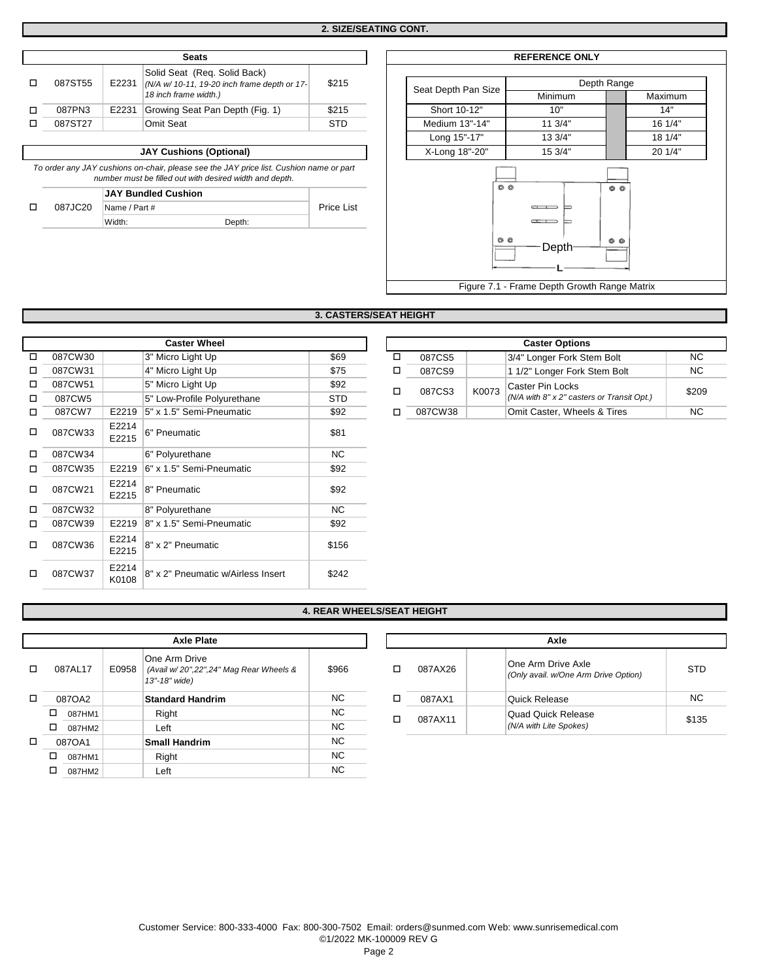Г

| <b>Seats</b> |       |                                                                                                       |       |  |  |  |  |  |
|--------------|-------|-------------------------------------------------------------------------------------------------------|-------|--|--|--|--|--|
| 087ST55      | E2231 | Solid Seat (Reg. Solid Back)<br>(N/A w/ 10-11, 19-20 inch frame depth or 17-<br>18 inch frame width.) | \$215 |  |  |  |  |  |
| 087PN3       | E2231 | Growing Seat Pan Depth (Fig. 1)                                                                       | \$215 |  |  |  |  |  |
| 087ST27      |       | Omit Seat                                                                                             | STD   |  |  |  |  |  |

**JAY Cushions (Optional)** 

*To order any JAY cushions on-chair, please see the JAY price list. Cushion name or part number must be filled out with desired width and depth.*

|         | <b>JAY Bundled Cushion</b> |  |
|---------|----------------------------|--|
| 087JC20 | Name / Part #              |  |

o

Width: Depth:

|                             | <b>REFERENCE ONLY</b>                        |             |  |  |  |  |  |
|-----------------------------|----------------------------------------------|-------------|--|--|--|--|--|
|                             |                                              |             |  |  |  |  |  |
| Seat Depth Pan Size         |                                              | Depth Range |  |  |  |  |  |
|                             | Minimum                                      | Maximum     |  |  |  |  |  |
| Short 10-12"                | 10"                                          | 14"         |  |  |  |  |  |
| Medium 13"-14"              | 11 3/4"                                      | 16 1/4"     |  |  |  |  |  |
| Long 15"-17"                | 13 3/4"                                      | 18 1/4"     |  |  |  |  |  |
| X-Long 18"-20"              | 15 3/4"                                      | 20 1/4"     |  |  |  |  |  |
| O<br>O<br>00<br>00<br>Depth |                                              |             |  |  |  |  |  |
|                             | Figure 7.1 - Frame Depth Growth Range Matrix |             |  |  |  |  |  |

## **3. CASTERS/SEAT HEIGHT**

Price List

|   | <b>Caster Wheel</b> |                |                                    |            |  |  |  |  |  |
|---|---------------------|----------------|------------------------------------|------------|--|--|--|--|--|
| п | 087CW30             |                | 3" Micro Light Up                  | \$69       |  |  |  |  |  |
| п | 087CW31             |                | 4" Micro Light Up                  | \$75       |  |  |  |  |  |
| п | 087CW51             |                | 5" Micro Light Up                  | \$92       |  |  |  |  |  |
| п | 087CW5              |                | 5" Low-Profile Polyurethane        | <b>STD</b> |  |  |  |  |  |
| п | 087CW7              | E2219          | 5" x 1.5" Semi-Pneumatic           | \$92       |  |  |  |  |  |
| п | 087CW33             | E2214<br>E2215 | 6" Pneumatic                       | \$81       |  |  |  |  |  |
| п | 087CW34             |                | 6" Polyurethane                    | <b>NC</b>  |  |  |  |  |  |
| □ | 087CW35             | E2219          | 6" x 1.5" Semi-Pneumatic           | \$92       |  |  |  |  |  |
| □ | 087CW21             | E2214<br>E2215 | 8" Pneumatic                       | \$92       |  |  |  |  |  |
| п | 087CW32             |                | 8" Polyurethane                    | <b>NC</b>  |  |  |  |  |  |
| п | 087CW39             | E2219          | 8" x 1.5" Semi-Pneumatic           | \$92       |  |  |  |  |  |
| п | 087CW36             | E2214<br>E2215 | 8" x 2" Pneumatic                  | \$156      |  |  |  |  |  |
| п | 087CW37             | E2214<br>K0108 | 8" x 2" Pneumatic w/Airless Insert | \$242      |  |  |  |  |  |

| <b>Caster Options</b> |       |                                                                |       |  |  |  |
|-----------------------|-------|----------------------------------------------------------------|-------|--|--|--|
| 087CS5                |       | 3/4" Longer Fork Stem Bolt                                     | NC.   |  |  |  |
| 087CS9                |       | 1 1/2" Longer Fork Stem Bolt                                   | NC.   |  |  |  |
| 087CS3                | K0073 | Caster Pin Locks<br>(N/A with 8" x 2" casters or Transit Opt.) | \$209 |  |  |  |
| 087CW38               |       | Omit Caster, Wheels & Tires                                    | NC.   |  |  |  |

#### **4. REAR WHEELS/SEAT HEIGHT**

|   | <b>Axle Plate</b> |         |       |                                                                          |           |  |  |  |
|---|-------------------|---------|-------|--------------------------------------------------------------------------|-----------|--|--|--|
| п |                   | 087AL17 | E0958 | One Arm Drive<br>(Avail w/20",22",24" Mag Rear Wheels &<br>13"-18" wide) | \$966     |  |  |  |
| п |                   | 087OA2  |       | <b>Standard Handrim</b>                                                  | <b>NC</b> |  |  |  |
|   | □                 | 087HM1  |       | Right                                                                    | <b>NC</b> |  |  |  |
|   | □                 | 087HM2  |       | Left                                                                     | <b>NC</b> |  |  |  |
| п |                   | 087OA1  |       | <b>Small Handrim</b>                                                     | <b>NC</b> |  |  |  |
|   | □                 | 087HM1  |       | Right                                                                    | <b>NC</b> |  |  |  |
|   |                   | 087HM2  |       | Left                                                                     | <b>NC</b> |  |  |  |

|   | Axle    |                                                            |           |  |  |  |  |  |
|---|---------|------------------------------------------------------------|-----------|--|--|--|--|--|
| п | 087AX26 | One Arm Drive Axle<br>(Only avail. w/One Arm Drive Option) | STD       |  |  |  |  |  |
| п | 087AX1  | Quick Release                                              | <b>NC</b> |  |  |  |  |  |
| п | 087AX11 | Quad Quick Release<br>(N/A with Lite Spokes)               | \$135     |  |  |  |  |  |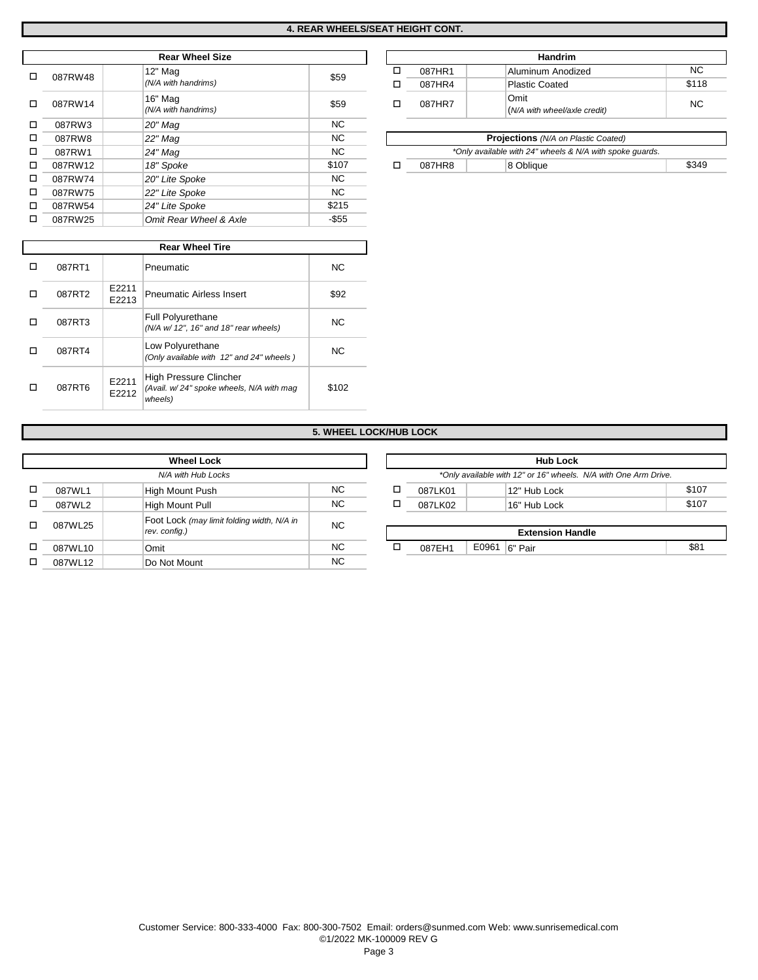|   |         | <b>Rear Wheel Size</b> |           |   |        | Handrim                                                  |
|---|---------|------------------------|-----------|---|--------|----------------------------------------------------------|
| п | 087RW48 | 12" Mag                | \$59      | □ | 087HR1 | Aluminum Anodized                                        |
|   |         | (N/A with handrims)    |           | □ | 087HR4 | <b>Plastic Coated</b>                                    |
| □ | 087RW14 | 16" Mag                | \$59      | □ | 087HR7 | Omit                                                     |
|   |         | (N/A with handrims)    |           |   |        | (N/A with wheel/axle credit)                             |
| □ | 087RW3  | 20" Mag                | <b>NC</b> |   |        |                                                          |
| □ | 087RW8  | 22" Mag                | NC.       |   |        | <b>Projections</b> (N/A on Plastic Coated)               |
| □ | 087RW1  | $24"$ Mag              | NC.       |   |        | *Only available with 24" wheels & N/A with spoke quards. |
| □ | 087RW12 | 18" Spoke              | \$107     | □ | 087HR8 | 8 Oblique                                                |
| □ | 087RW74 | 20" Lite Spoke         | NC.       |   |        |                                                          |
| □ | 087RW75 | 22" Lite Spoke         | NC.       |   |        |                                                          |
| □ | 087RW54 | 24" Lite Spoke         | \$215     |   |        |                                                          |
| □ | 087RW25 | Omit Rear Wheel & Axle | $-$ \$55  |   |        |                                                          |

| □ | 087RW54 |                | 24" Lite Spoke                                                    | \$215     |
|---|---------|----------------|-------------------------------------------------------------------|-----------|
| □ | 087RW25 |                | Omit Rear Wheel & Axle                                            | $-$ \$55  |
|   |         |                |                                                                   |           |
|   |         |                | <b>Rear Wheel Tire</b>                                            |           |
| □ | 087RT1  |                | Pneumatic                                                         | <b>NC</b> |
| П | 087RT2  | E2211<br>E2213 | <b>Pneumatic Airless Insert</b>                                   | \$92      |
| □ | 087RT3  |                | <b>Full Polyurethane</b><br>(N/A w/ 12", 16" and 18" rear wheels) | <b>NC</b> |
| □ | 087RT4  |                | Low Polyurethane<br>(Only available with 12" and 24" wheels)      | <b>NC</b> |

*(Avail. w/ 24" spoke wheels, N/A with mag* 

| <b>Handrim</b> |                                      |       |  |  |  |  |  |
|----------------|--------------------------------------|-------|--|--|--|--|--|
| 087HR1         | Aluminum Anodized                    | NC.   |  |  |  |  |  |
| 087HR4         | <b>Plastic Coated</b>                | \$118 |  |  |  |  |  |
| 087HR7         | Omit<br>(N/A with wheel/axle credit) | NC.   |  |  |  |  |  |

| 22" Maq   | <b>NC</b>                | <b>Projections</b> (N/A on Plastic Coated) |                                                          |       |  |
|-----------|--------------------------|--------------------------------------------|----------------------------------------------------------|-------|--|
| 24" Maq   | <b>NC</b>                |                                            | *Only available with 24" wheels & N/A with spoke quards. |       |  |
| 18" Spoke | \$107                    | 087HR8                                     | <sup>1</sup> 8 Oblique                                   | \$349 |  |
| --------  | $\overline{\phantom{a}}$ |                                            |                                                          |       |  |

# **5. WHEEL LOCK/HUB LOCK**

\$102

|         | <b>Wheel Lock</b>                                           |           |
|---------|-------------------------------------------------------------|-----------|
|         | N/A with Hub Locks                                          |           |
| 087WL1  | High Mount Push                                             | NC.       |
| 087WL2  | High Mount Pull                                             | <b>NC</b> |
| 087WL25 | Foot Lock (may limit folding width, N/A in<br>rev. config.) | <b>NC</b> |
| 087WL10 | Omit                                                        | NC.       |
| 087WL12 | Do Not Mount                                                | <b>NC</b> |

High Pressure Clincher

*wheels)* E2212

087RT6 E2211

o

o

o

o

|          | <b>Wheel Lock</b>                          |        |   |         |                 | <b>Hub Lock</b>                                                 |       |
|----------|--------------------------------------------|--------|---|---------|-----------------|-----------------------------------------------------------------|-------|
|          | N/A with Hub Locks                         |        |   |         |                 | *Only available with 12" or 16" wheels. N/A with One Arm Drive. |       |
| 087WL1   | High Mount Push                            | NC.    | α | 087LK01 |                 | 12" Hub Lock                                                    | \$107 |
| 087WL2   | High Mount Pull                            | NC.    | ◻ | 087LK02 |                 | 16" Hub Lock                                                    | \$107 |
| 087WL25  | Foot Lock (may limit folding width, N/A in | NC.    |   |         |                 |                                                                 |       |
|          | rev. config.)                              |        |   |         |                 | <b>Extension Handle</b>                                         |       |
| 087WL10  | Omit                                       | NC.    | ◻ | 087EH1  | E0961   6" Pair |                                                                 | \$81  |
| 0.211177 | $D = N + M + M$                            | $\sim$ |   |         |                 |                                                                 |       |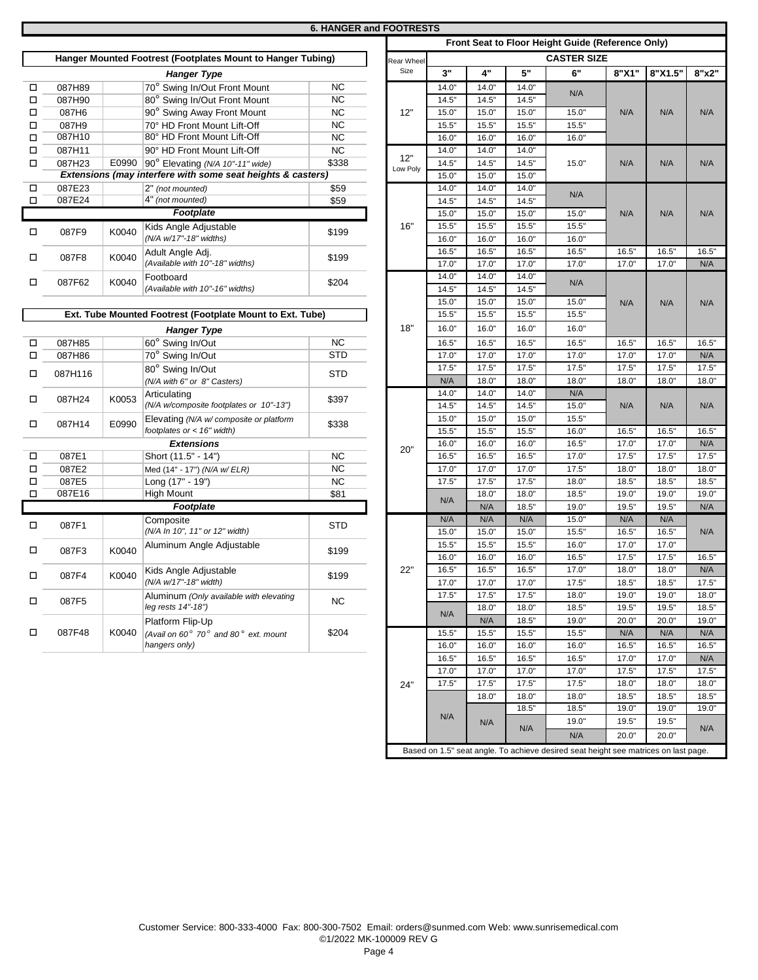# **6. HANGER and FOOTRESTS**

|        |         |       |                                                             |            |            |       | rront Seat |
|--------|---------|-------|-------------------------------------------------------------|------------|------------|-------|------------|
|        |         |       | Hanger Mounted Footrest (Footplates Mount to Hanger Tubing) |            | Rear Wheel |       |            |
|        |         |       | <b>Hanger Type</b>                                          |            | Size       | 3"    | 4"         |
| о      | 087H89  |       | 70° Swing In/Out Front Mount                                | <b>NC</b>  |            | 14.0" | 14.0"      |
| □      | 087H90  |       | 80° Swing In/Out Front Mount                                | <b>NC</b>  |            | 14.5" | 14.5"      |
| □      | 087H6   |       | 90° Swing Away Front Mount                                  | <b>NC</b>  | 12"        | 15.0" | 15.0"      |
| о      | 087H9   |       | 70° HD Front Mount Lift-Off                                 | <b>NC</b>  |            | 15.5" | 15.5"      |
| о      | 087H10  |       | 80° HD Front Mount Lift-Off                                 | <b>NC</b>  |            | 16.0" | 16.0"      |
| П      | 087H11  |       | 90° HD Front Mount Lift-Off                                 | <b>NC</b>  |            | 14.0" | 14.0"      |
| о      | 087H23  | E0990 | 90° Elevating (N/A 10"-11" wide)                            | \$338      | 12"        | 14.5" | 14.5"      |
|        |         |       | Extensions (may interfere with some seat heights & casters) |            | Low Poly   | 15.0" | 15.0"      |
| □      | 087E23  |       | 2" (not mounted)                                            | \$59       |            | 14.0" | 14.0"      |
| $\Box$ | 087E24  |       | 4" (not mounted)                                            | \$59       |            | 14.5" | 14.5"      |
|        |         |       | <b>Footplate</b>                                            |            |            | 15.0" | 15.0"      |
|        |         |       | Kids Angle Adjustable                                       |            | 16"        | 15.5" | 15.5"      |
| П      | 087F9   | K0040 | (N/A w/17"-18" widths)                                      | \$199      |            | 16.0" | 16.0"      |
|        |         |       | Adult Angle Adj.                                            |            |            | 16.5" | 16.5"      |
| П      | 087F8   | K0040 | (Available with 10"-18" widths)                             | \$199      |            | 17.0" | 17.0"      |
|        |         |       | Footboard                                                   |            |            | 14.0" | 14.0"      |
| о      | 087F62  | K0040 | (Available with 10"-16" widths)                             | \$204      |            | 14.5" | 14.5"      |
|        |         |       |                                                             |            |            | 15.0" | 15.0"      |
|        |         |       | Ext. Tube Mounted Footrest (Footplate Mount to Ext. Tube)   |            |            | 15.5" | 15.5"      |
|        |         |       |                                                             |            |            | 16.0" | 16.0"      |
|        |         |       | <b>Hanger Type</b>                                          |            | 18"        |       |            |
| о      | 087H85  |       | 60° Swing In/Out                                            | <b>NC</b>  |            | 16.5" | 16.5"      |
| □      | 087H86  |       | 70° Swing In/Out                                            | <b>STD</b> |            | 17.0" | 17.0"      |
| о      | 087H116 |       | 80° Swing In/Out                                            | <b>STD</b> |            | 17.5" | 17.5"      |
|        |         |       | (N/A with 6" or 8" Casters)                                 |            |            | N/A   | 18.0"      |
| о      | 087H24  | K0053 | Articulating                                                | \$397      |            | 14.0" | 14.0"      |
|        |         |       | (N/A w/composite footplates or 10"-13")                     |            |            | 14.5" | 14.5"      |
| П      | 087H14  | E0990 | Elevating (N/A w/ composite or platform                     | \$338      |            | 15.0" | 15.0"      |
|        |         |       | footplates or < 16" width)                                  |            |            | 15.5" | 15.5"      |
|        |         |       | <b>Extensions</b>                                           | <b>NC</b>  | 20"        | 16.0" | 16.0"      |
| □      | 087E1   |       | Short (11.5" - 14")                                         |            |            | 16.5" | 16.5"      |
| □      | 087E2   |       | Med (14" - 17") (N/A w/ ELR)                                | <b>NC</b>  |            | 17.0" | 17.0"      |
| □      | 087E5   |       | Long (17" - 19")                                            | <b>NC</b>  |            | 17.5" | 17.5"      |
| о      | 087E16  |       | <b>High Mount</b>                                           | \$81       |            | N/A   | 18.0"      |
|        |         |       | Footplate                                                   |            |            |       | N/A        |
| о      | 087F1   |       | Composite                                                   | <b>STD</b> |            | N/A   | N/A        |
|        |         |       | (N/A In 10", 11" or 12" width)                              |            |            | 15.0" | 15.0"      |
| о      | 087F3   | K0040 | Aluminum Angle Adjustable                                   | \$199      |            | 15.5" | 15.5"      |
|        |         |       |                                                             |            |            | 16.0" | 16.0"      |
| □      | 087F4   | K0040 | Kids Angle Adjustable                                       | \$199      | 22"        | 16.5" | 16.5"      |
|        |         |       | (N/A w/17"-18" width)                                       |            |            | 17.0" | 17.0"      |
| □      | 087F5   |       | Aluminum (Only available with elevating                     | <b>NC</b>  |            | 17.5" | 17.5"      |
|        |         |       | leg rests 14"-18")                                          |            |            | N/A   | 18.0"      |
|        |         |       | Platform Flip-Up                                            |            |            |       | N/A        |
| о      | 087F48  | K0040 | (Avail on $60^{\circ}$ 70° and 80° ext. mount               | \$204      |            | 15.5" | 15.5"      |
|        |         |       | hangers only)                                               |            |            | 16.0" | 16.0"      |

|            |       |       |       | Front Seat to Floor Height Guide (Reference Only) |                |         |       |  |  |  |  |
|------------|-------|-------|-------|---------------------------------------------------|----------------|---------|-------|--|--|--|--|
| Rear Wheel |       |       |       | <b>CASTER SIZE</b>                                |                |         |       |  |  |  |  |
| Size       | 3"    | 4"    | 5"    | 6"                                                | 8"X1"          | 8"X1.5" | 8"x2" |  |  |  |  |
|            | 14.0" | 14.0" | 14.0" |                                                   |                |         |       |  |  |  |  |
|            | 14.5" | 14.5" | 14.5" | N/A                                               |                |         |       |  |  |  |  |
| 12"        | 15.0" | 15.0" | 15.0" | 15.0"                                             | N/A            | N/A     | N/A   |  |  |  |  |
|            | 15.5" | 15.5" | 15.5" | 15.5"                                             |                |         |       |  |  |  |  |
|            | 16.0" | 16.0" | 16.0" | 16.0"                                             |                |         |       |  |  |  |  |
|            | 14.0" | 14.0" | 14.0" |                                                   |                |         |       |  |  |  |  |
| 12"        | 14.5" | 14.5" | 14.5" | 15.0"                                             | N/A            | N/A     | N/A   |  |  |  |  |
| Low Poly   | 15.0" | 15.0" | 15.0" |                                                   |                |         |       |  |  |  |  |
|            | 14.0" | 14.0" | 14.0" |                                                   |                |         |       |  |  |  |  |
|            | 14.5" | 14.5" | 14.5" | N/A                                               |                |         |       |  |  |  |  |
|            | 15.0" | 15.0" | 15.0" | 15.0"                                             | N/A            | N/A     | N/A   |  |  |  |  |
| 16"        | 15.5" | 15.5" | 15.5" | 15.5"                                             |                |         |       |  |  |  |  |
|            |       |       |       |                                                   |                |         |       |  |  |  |  |
|            | 16.0" | 16.0" | 16.0" | 16.0"                                             |                |         |       |  |  |  |  |
|            | 16.5" | 16.5" | 16.5" | 16.5"                                             | 16.5"          | 16.5"   | 16.5" |  |  |  |  |
|            | 17.0" | 17.0" | 17.0" | 17.0"                                             | 17.0"          | 17.0"   | N/A   |  |  |  |  |
|            | 14.0" | 14.0" | 14.0" | N/A                                               |                |         |       |  |  |  |  |
|            | 14.5" | 14.5" | 14.5" |                                                   |                |         |       |  |  |  |  |
|            | 15.0" | 15.0" | 15.0" | 15.0"                                             | N/A            | N/A     | N/A   |  |  |  |  |
|            | 15.5" | 15.5" | 15.5" | 15.5"                                             |                |         |       |  |  |  |  |
| 18"        | 16.0" | 16.0" | 16.0" | 16.0"                                             |                |         |       |  |  |  |  |
|            | 16.5" | 16.5" | 16.5" | 16.5"                                             | 16.5"          | 16.5"   | 16.5" |  |  |  |  |
|            | 17.0" | 17.0" | 17.0" | 17.0"                                             | 17.0"          | 17.0"   | N/A   |  |  |  |  |
|            | 17.5" | 17.5" | 17.5" | 17.5"                                             | 17.5"          | 17.5"   | 17.5" |  |  |  |  |
|            | N/A   | 18.0" | 18.0" | 18.0"                                             | 18.0"          | 18.0"   | 18.0" |  |  |  |  |
|            | 14.0" | 14.0" | 14.0" | N/A                                               |                |         |       |  |  |  |  |
|            | 14.5" | 14.5" | 14.5" | 15.0"                                             | N/A            | N/A     | N/A   |  |  |  |  |
|            | 15.0" | 15.0" | 15.0" | 15.5"                                             |                |         |       |  |  |  |  |
|            | 15.5" | 15.5" | 15.5" | 16.0"                                             | 16.5"          | 16.5"   | 16.5" |  |  |  |  |
|            |       |       |       |                                                   |                |         |       |  |  |  |  |
| 20"        | 16.0" | 16.0" | 16.0" | 16.5"                                             | 17.0"          | 17.0"   | N/A   |  |  |  |  |
|            | 16.5" | 16.5" | 16.5" | 17.0"                                             | 17.5"          | 17.5"   | 17.5" |  |  |  |  |
|            | 17.0" | 17.0" | 17.0" | 17.5"                                             | 18.0"          | 18.0"   | 18.0" |  |  |  |  |
|            | 17.5" | 17.5" | 17.5" | 18.0"                                             | 18.5"          | 18.5"   | 18.5" |  |  |  |  |
|            | N/A   | 18.0" | 18.0" | 18.5"                                             | 19.0"          | 19.0"   | 19.0" |  |  |  |  |
|            |       | N/A   | 18.5" | 19.0"                                             | 19.5"          | 19.5"   | N/A   |  |  |  |  |
|            | N/A   | N/A   | N/A   | 15.0"                                             | N/A            | N/A     |       |  |  |  |  |
|            | 15.0" | 15.0" | 15.0" | 15.5"                                             | 16.5"          | 16.5"   | N/A   |  |  |  |  |
|            | 15.5" | 15.5" | 15.5" | 16.0"                                             | 17.0"          | 17.0"   |       |  |  |  |  |
|            | 16.0" | 16.0" | 16.0" | 16.5"                                             | 17.5"          | 17.5"   | 16.5" |  |  |  |  |
| 22"        | 16.5" | 16.5" | 16.5" | 17.0"                                             | 18.0"          | 18.0"   | N/A   |  |  |  |  |
|            | 17.0" | 17.0" | 17.0" | 17.5"                                             | 18.5"          | 18.5"   | 17.5" |  |  |  |  |
|            | 17.5" | 17.5" | 17.5" | 18.0"                                             | 19.0"          | 19.0"   | 18.0" |  |  |  |  |
|            |       | 18.0" | 18.0" | 18.5"                                             | 19.5"          | 19.5"   | 18.5" |  |  |  |  |
|            | N/A   | N/A   | 18.5" | 19.0"                                             | 20.0"          | 20.0"   | 19.0" |  |  |  |  |
|            | 15.5" | 15.5" | 15.5" | 15.5"                                             | N/A            | N/A     | N/A   |  |  |  |  |
|            | 16.0" | 16.0" | 16.0" | 16.0"                                             | 16.5"          | 16.5"   | 16.5" |  |  |  |  |
|            | 16.5" | 16.5" | 16.5" | 16.5"                                             | 17.0"          | 17.0"   | N/A   |  |  |  |  |
|            | 17.0" | 17.0" | 17.0" | 17.0"                                             | 17.5"          | 17.5"   | 17.5" |  |  |  |  |
| 24"        | 17.5" | 17.5" | 17.5" | 17.5"                                             | 18.0"          | 18.0"   | 18.0" |  |  |  |  |
|            |       | 18.0" | 18.0" | 18.0"                                             | 18.5"          | 18.5"   | 18.5" |  |  |  |  |
|            |       |       | 18.5" | 18.5"                                             | 19.0"          | 19.0"   | 19.0" |  |  |  |  |
|            | N/A   |       |       |                                                   |                |         |       |  |  |  |  |
|            |       | N/A   | N/A   | 19.0"<br>N/A                                      | 19.5"<br>20.0" | 19.5"   | N/A   |  |  |  |  |
|            |       |       |       |                                                   |                | 20.0"   |       |  |  |  |  |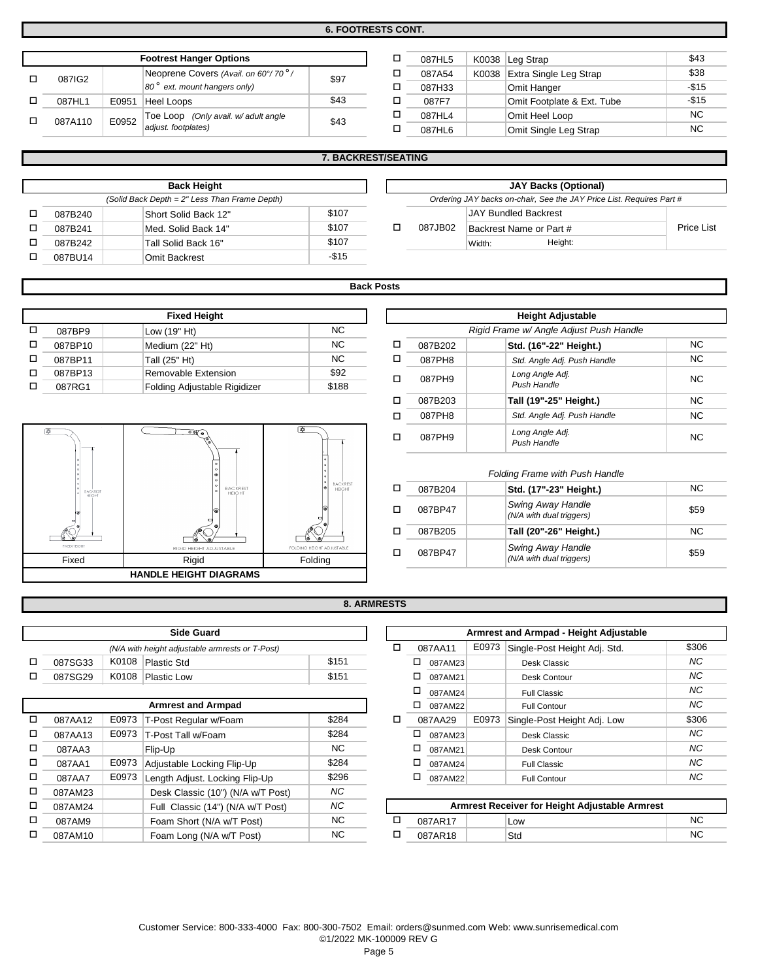**6. FOOTRESTS CONT.**

| <b>Footrest Hanger Options</b> |       |                                                                                  |      |  |  |  |  |
|--------------------------------|-------|----------------------------------------------------------------------------------|------|--|--|--|--|
| 087IG2                         |       | Neoprene Covers (Avail. on 60°/70 <sup>°</sup> /<br>80° ext. mount hangers only) | \$97 |  |  |  |  |
| 087HL1                         | E0951 | <b>Heel Loops</b>                                                                | \$43 |  |  |  |  |
| 087A110                        | E0952 | Toe Loop (Only avail. w/ adult angle<br>adjust. footplates)                      | \$43 |  |  |  |  |

| п | 087HL5 | K0038 | Leg Strap                  | \$43      |
|---|--------|-------|----------------------------|-----------|
| п | 087A54 | K0038 | Extra Single Leg Strap     | \$38      |
|   | 087H33 |       | Omit Hanger                | $-$15$    |
|   | 087F7  |       | Omit Footplate & Ext. Tube | $-$15$    |
|   | 087HL4 |       | Omit Heel Loop             | <b>NC</b> |
|   | 087HL6 |       | Omit Single Leg Strap      | NC.       |
|   |        |       |                            |           |

|  |  |  | <b>7. BACKREST/SEATING</b> |
|--|--|--|----------------------------|
|  |  |  |                            |

| <b>Back Height</b>                            |                      |        |  |         |                                        | JAY Backs (Or |
|-----------------------------------------------|----------------------|--------|--|---------|----------------------------------------|---------------|
| (Solid Back Depth = 2" Less Than Frame Depth) |                      |        |  |         | Ordering JAY backs on-chair, See the J |               |
| 087B240                                       | Short Solid Back 12" | \$107  |  |         | <b>JAY Bundled Backrest</b>            |               |
| 087B241                                       | Med. Solid Back 14"  | \$107  |  | 087JB02 | Backrest Name or Part #                |               |
| 087B242                                       | Tall Solid Back 16"  | \$107  |  |         | Width:                                 | Height:       |
| 087BU14                                       | <b>Omit Backrest</b> | $-$15$ |  |         |                                        |               |

| <b>JAY Backs (Optional)</b>                                          |                             |                         |  |            |  |  |  |
|----------------------------------------------------------------------|-----------------------------|-------------------------|--|------------|--|--|--|
| Ordering JAY backs on-chair, See the JAY Price List. Requires Part # |                             |                         |  |            |  |  |  |
|                                                                      | <b>JAY Bundled Backrest</b> |                         |  |            |  |  |  |
| 087.IB02                                                             |                             | Backrest Name or Part # |  | Price List |  |  |  |
|                                                                      | Width <sup>-</sup>          | Height:                 |  |            |  |  |  |

# **Back Posts**

| <b>Fixed Height</b> |                              |       |   |  |  |  |  |  |  |
|---------------------|------------------------------|-------|---|--|--|--|--|--|--|
| 087BP9              | Low (19" Ht)                 | NC.   |   |  |  |  |  |  |  |
| 087BP10             | Medium (22" Ht)              | NC.   | п |  |  |  |  |  |  |
| 087BP11             | Tall (25" Ht)                | NC.   | п |  |  |  |  |  |  |
| 087BP13             | Removable Extension          | \$92  | п |  |  |  |  |  |  |
| 087RG1              | Folding Adjustable Rigidizer | \$188 |   |  |  |  |  |  |  |



| Fixed Height            |       |   |         | <b>Height Adjustable</b>                |           |
|-------------------------|-------|---|---------|-----------------------------------------|-----------|
| 19" Ht)                 | NC.   |   |         | Rigid Frame w/ Angle Adjust Push Handle |           |
| NC.<br>um (22" Ht)      |       | □ | 087B202 | Std. (16"-22" Height.)                  | <b>NC</b> |
| 25" Ht)                 | NC.   | □ | 087PH8  | Std. Angle Adj. Push Handle             | <b>NC</b> |
| ovable Extension        | \$92  | □ | 087PH9  | Long Angle Adj.                         | <b>NC</b> |
| ng Adjustable Rigidizer | \$188 |   |         | Push Handle                             |           |
|                         |       | □ | 087B203 | Tall (19"-25" Height.)                  | NC.       |
|                         |       | □ | 087PH8  | Std. Angle Adj. Push Handle             | <b>NC</b> |
| $\circ$                 | l o I | □ | 087PH9  | Long Angle Adj.<br>Push Handle          | <b>NC</b> |

#### $\Box$ o o 087BP47 NC 087BP47 \$59 o \$59 *Swing Away Handle (N/A with dual triggers)* NC **Tall (20"-26" Height.)** 087B205 **Std. (17"-23" Height.)** *Folding Frame with Push Handle* 087B204 *Swing Away Handle (N/A with dual triggers)*

## **8. ARMRESTS**

| <b>Side Guard</b>                               |       |             |       |  |  |  |  |
|-------------------------------------------------|-------|-------------|-------|--|--|--|--|
| (N/A with height adjustable armrests or T-Post) |       |             |       |  |  |  |  |
| 087SG33                                         | K0108 | Plastic Std | \$151 |  |  |  |  |
| 087SG29                                         | K0108 | Plastic Low | \$151 |  |  |  |  |

| <b>Armrest and Armpad</b> |         |                                         |                                   |           |        |   |  |  |  |
|---------------------------|---------|-----------------------------------------|-----------------------------------|-----------|--------|---|--|--|--|
| □                         | 087AA12 | \$284<br>E0973<br>T-Post Regular w/Foam |                                   |           |        |   |  |  |  |
| □                         | 087AA13 | E0973                                   | \$284                             |           | $\Box$ |   |  |  |  |
| □                         | 087AA3  | <b>NC</b>                               |                                   | □         |        |   |  |  |  |
| □                         | 087AA1  | E0973                                   | \$284                             |           | □      |   |  |  |  |
| □                         | 087AA7  | E0973                                   | Length Adjust. Locking Flip-Up    | \$296     |        | □ |  |  |  |
| □                         | 087AM23 |                                         | Desk Classic (10") (N/A w/T Post) | <b>NC</b> |        |   |  |  |  |
| п                         | 087AM24 |                                         | Full Classic (14") (N/A w/T Post) | <b>NC</b> |        |   |  |  |  |
| □                         | 087AM9  |                                         | Foam Short (N/A w/T Post)         | <b>NC</b> |        | C |  |  |  |
| п                         | 087AM10 |                                         | Foam Long (N/A w/T Post)          | <b>NC</b> |        | C |  |  |  |

|           |   |   |         |       | Armrest and Armpad - Height Adjustable |           |
|-----------|---|---|---------|-------|----------------------------------------|-----------|
|           | □ |   | 087AA11 | E0973 | Single-Post Height Adj. Std.           | \$306     |
| \$151     |   | □ | 087AM23 |       | Desk Classic                           | NC        |
| \$151     |   | □ | 087AM21 |       | Desk Contour                           | NC        |
|           |   | □ | 087AM24 |       | <b>Full Classic</b>                    | NC        |
|           |   | □ | 087AM22 |       | <b>Full Contour</b>                    | NC        |
| \$284     | □ |   | 087AA29 | E0973 | Single-Post Height Adj. Low            | \$306     |
| \$284     |   | □ | 087AM23 |       | Desk Classic                           | NC        |
| <b>NC</b> |   | □ | 087AM21 |       | Desk Contour                           | <b>NC</b> |
| \$284     |   | □ | 087AM24 |       | <b>Full Classic</b>                    | NC        |
| \$296     |   | □ | 087AM22 |       | <b>Full Contour</b>                    | <b>NC</b> |
| $\cdots$  |   |   |         |       |                                        |           |

| Armrest Receiver for Height Adjustable Armrest |  |     |     |  |  |  |  |  |  |
|------------------------------------------------|--|-----|-----|--|--|--|--|--|--|
| 087AR17                                        |  | Low |     |  |  |  |  |  |  |
| 087AR18                                        |  | Std | NC. |  |  |  |  |  |  |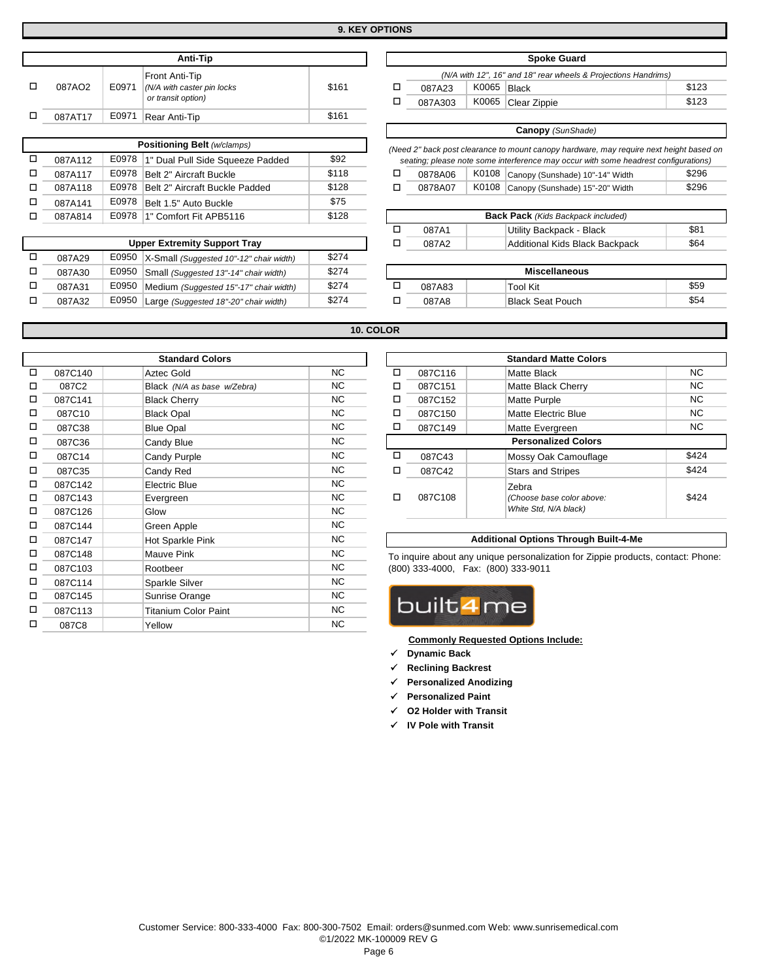| Anti-Tip |       |                                                                    |       |  |  |  |  |  |  |  |
|----------|-------|--------------------------------------------------------------------|-------|--|--|--|--|--|--|--|
| 087AO2   | E0971 | Front Anti-Tip<br>(N/A with caster pin locks<br>or transit option) | \$161 |  |  |  |  |  |  |  |
| 087AT17  | E0971 | Rear Anti-Tip                                                      | \$161 |  |  |  |  |  |  |  |
|          |       |                                                                    |       |  |  |  |  |  |  |  |

| Positioning Belt (w/clamps) |       |                                |       |   |  |  |  |  |  |  |
|-----------------------------|-------|--------------------------------|-------|---|--|--|--|--|--|--|
| 087A112                     | \$92  | $(N\epsilon$                   |       |   |  |  |  |  |  |  |
| 087A117                     | E0978 | Belt 2" Aircraft Buckle        | \$118 | п |  |  |  |  |  |  |
| 087A118                     | E0978 | Belt 2" Aircraft Buckle Padded | \$128 | п |  |  |  |  |  |  |
| 087A141                     | E0978 | Belt 1.5" Auto Buckle          | \$75  |   |  |  |  |  |  |  |
| 087A814                     | E0978 | 1" Comfort Fit APB5116         | \$128 |   |  |  |  |  |  |  |

|        | <b>Upper Extremity Support Tray</b> | 087A2                                           | Addition |        |                |
|--------|-------------------------------------|-------------------------------------------------|----------|--------|----------------|
| 087A29 |                                     | E0950   X-Small (Suggested 10"-12" chair width) | \$274    |        |                |
| 087A30 | E0950                               | Small (Suggested 13"-14" chair width)           | \$274    |        | Mis            |
| 087A31 | E0950                               | Medium (Suggested 15"-17" chair width)          | \$274    | 087A83 | Tool Kit       |
| 087A32 | E0950                               | Large (Suggested 18"-20" chair width)           | \$274    | 087A8  | <b>Black S</b> |
|        |                                     |                                                 |          |        |                |

|       | Front Anti-Tip                          |       |   |         |       | (N/A with 12", 16" and 18" rear wheels & Projections Handrims)                          |       |
|-------|-----------------------------------------|-------|---|---------|-------|-----------------------------------------------------------------------------------------|-------|
| E0971 | (N/A with caster pin locks              | \$161 | П | 087A23  | K0065 | Black                                                                                   | \$123 |
|       | or transit option)                      |       | □ | 087A303 | K0065 | Clear Zippie                                                                            | \$123 |
| E0971 | Rear Anti-Tip                           | \$161 |   |         |       |                                                                                         |       |
|       |                                         |       |   |         |       | <b>Canopy</b> (SunShade)                                                                |       |
|       | Positioning Belt (w/clamps)             |       |   |         |       | (Need 2" back post clearance to mount canopy hardware, may require next height based on |       |
| E0978 | 1" Dual Pull Side Squeeze Padded        | \$92  |   |         |       | seating; please note some interference may occur with some headrest configurations)     |       |
| E0978 | Belt 2" Aircraft Buckle                 | \$118 | □ | 0878A06 | K0108 | Canopy (Sunshade) 10"-14" Width                                                         | \$296 |
| E0978 | Belt 2" Aircraft Buckle Padded          | \$128 | ◻ | 0878A07 | K0108 | Canopy (Sunshade) 15"-20" Width                                                         | \$296 |
| E0978 | Belt 1.5" Auto Buckle                   | \$75  |   |         |       |                                                                                         |       |
| E0978 | 1" Comfort Fit APB5116                  | \$128 |   |         |       | <b>Back Pack</b> (Kids Backpack included)                                               |       |
|       |                                         |       | □ | 087A1   |       | Utility Backpack - Black                                                                | \$81  |
|       | <b>Upper Extremity Support Tray</b>     |       | □ | 087A2   |       | Additional Kids Black Backpack                                                          | \$64  |
| E0950 | X-Small (Suggested 10"-12" chair width) | \$274 |   |         |       |                                                                                         |       |
| E0950 | Small (Suggested 13"-14" chair width)   | \$274 |   |         |       | <b>Miscellaneous</b>                                                                    |       |
| E0950 | Medium (Suggested 15"-17" chair width)  | \$274 | О | 087A83  |       | Tool Kit                                                                                | \$59  |
| E0950 | Large (Suggested 18"-20" chair width)   | \$274 | ◻ | 087A8   |       | <b>Black Seat Pouch</b>                                                                 | \$54  |

**Spoke Guard**

## **10. COLOR**

|   |         | <b>Standard Colors</b>      |           |   |                                     | <b>Standard Matte Co</b>                        |
|---|---------|-----------------------------|-----------|---|-------------------------------------|-------------------------------------------------|
| □ | 087C140 | Aztec Gold                  | NC.       | □ | 087C116                             | Matte Black                                     |
| □ | 087C2   | Black (N/A as base w/Zebra) | NC        | □ | 087C151                             | Matte Black Cherry                              |
| □ | 087C141 | <b>Black Cherry</b>         | <b>NC</b> | □ | 087C152                             | Matte Purple                                    |
| □ | 087C10  | <b>Black Opal</b>           | NC.       | □ | 087C150                             | <b>Matte Electric Blue</b>                      |
| □ | 087C38  | <b>Blue Opal</b>            | NC        | □ | 087C149                             | Matte Evergreen                                 |
| □ | 087C36  | Candy Blue                  | NC.       |   |                                     | <b>Personalized Co</b>                          |
| □ | 087C14  | Candy Purple                | NC        | о | 087C43                              | Mossy Oak Camou                                 |
| □ | 087C35  | Candy Red                   | NC.       | □ | 087C42                              | <b>Stars and Stripes</b>                        |
| □ | 087C142 | Electric Blue               | <b>NC</b> |   |                                     | Zebra                                           |
| □ | 087C143 | Evergreen                   | NC.       | □ | 087C108                             | (Choose base color a                            |
| □ | 087C126 | Glow                        | NC.       |   |                                     | White Std, N/A black)                           |
| □ | 087C144 | Green Apple                 | <b>NC</b> |   |                                     |                                                 |
| □ | 087C147 | Hot Sparkle Pink            | NC.       |   |                                     | <b>Additional Options Throug</b>                |
| □ | 087C148 | Mauve Pink                  | NC.       |   |                                     | To inquire about any unique personalization for |
| □ | 087C103 | Rootbeer                    | NC.       |   | (800) 333-4000, Fax: (800) 333-9011 |                                                 |
| □ | 087C114 | Sparkle Silver              | NC.       |   |                                     |                                                 |
| □ | 087C145 | Sunrise Orange              | <b>NC</b> |   |                                     |                                                 |
| □ | 087C113 | <b>Titanium Color Paint</b> | NC        |   | built4me                            |                                                 |
| □ | 087C8   | Yellow                      | <b>NC</b> |   |                                     |                                                 |

|           |   |         | <b>Standard Matte Colors</b> |       |
|-----------|---|---------|------------------------------|-------|
| <b>NC</b> | ◻ | 087C116 | <b>Matte Black</b>           | NC.   |
| <b>NC</b> | ◻ | 087C151 | <b>Matte Black Cherry</b>    | NC.   |
| NC        | □ | 087C152 | <b>Matte Purple</b>          | NC.   |
| <b>NC</b> | □ | 087C150 | <b>Matte Electric Blue</b>   | NC.   |
| <b>NC</b> | □ | 087C149 | Matte Evergreen              | NC.   |
| <b>NC</b> |   |         | <b>Personalized Colors</b>   |       |
| <b>NC</b> | □ | 087C43  | Mossy Oak Camouflage         | \$424 |
| <b>NC</b> | □ | 087C42  | <b>Stars and Stripes</b>     | \$424 |
| <b>NC</b> |   |         | Zebra                        |       |
| <b>NC</b> | п | 087C108 | (Choose base color above:    | \$424 |
| NC.       |   |         | White Std, N/A black)        |       |
| $\cdots$  |   |         |                              |       |

#### **Additional Options Through Built-4-Me**

To inquire about any unique personalization for Zippie products, contact: Phone: (800) 333-4000, Fax: (800) 333-9011



**Commonly Requested Options Include:**

- **Dynamic Back**
- **Reclining Backrest**
- **Personalized Anodizing**
- **Personalized Paint**
- **O2 Holder with Transit**
- **IV Pole with Transit**